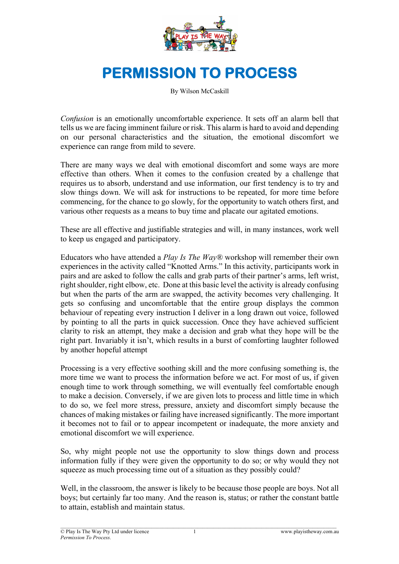

# **PERMISSION TO PROCESS**

By Wilson McCaskill

*Confusion* is an emotionally uncomfortable experience. It sets off an alarm bell that tells us we are facing imminent failure or risk. This alarm is hard to avoid and depending on our personal characteristics and the situation, the emotional discomfort we experience can range from mild to severe.

There are many ways we deal with emotional discomfort and some ways are more effective than others. When it comes to the confusion created by a challenge that requires us to absorb, understand and use information, our first tendency is to try and slow things down. We will ask for instructions to be repeated, for more time before commencing, for the chance to go slowly, for the opportunity to watch others first, and various other requests as a means to buy time and placate our agitated emotions.

These are all effective and justifiable strategies and will, in many instances, work well to keep us engaged and participatory.

Educators who have attended a *Play Is The Way®* workshop will remember their own experiences in the activity called "Knotted Arms." In this activity, participants work in pairs and are asked to follow the calls and grab parts of their partner's arms, left wrist, right shoulder, right elbow, etc. Done at this basic level the activity is already confusing but when the parts of the arm are swapped, the activity becomes very challenging. It gets so confusing and uncomfortable that the entire group displays the common behaviour of repeating every instruction I deliver in a long drawn out voice, followed by pointing to all the parts in quick succession. Once they have achieved sufficient clarity to risk an attempt, they make a decision and grab what they hope will be the right part. Invariably it isn't, which results in a burst of comforting laughter followed by another hopeful attempt

Processing is a very effective soothing skill and the more confusing something is, the more time we want to process the information before we act. For most of us, if given enough time to work through something, we will eventually feel comfortable enough to make a decision. Conversely, if we are given lots to process and little time in which to do so, we feel more stress, pressure, anxiety and discomfort simply because the chances of making mistakes or failing have increased significantly. The more important it becomes not to fail or to appear incompetent or inadequate, the more anxiety and emotional discomfort we will experience.

So, why might people not use the opportunity to slow things down and process information fully if they were given the opportunity to do so; or why would they not squeeze as much processing time out of a situation as they possibly could?

Well, in the classroom, the answer is likely to be because those people are boys. Not all boys; but certainly far too many. And the reason is, status; or rather the constant battle to attain, establish and maintain status.

1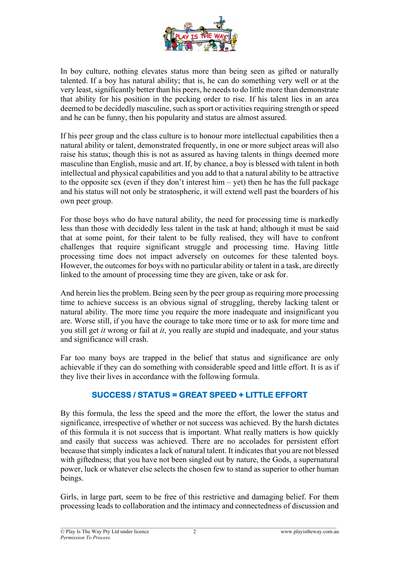

In boy culture, nothing elevates status more than being seen as gifted or naturally talented. If a boy has natural ability; that is, he can do something very well or at the very least, significantly better than his peers, he needs to do little more than demonstrate that ability for his position in the pecking order to rise. If his talent lies in an area deemed to be decidedly masculine, such as sport or activities requiring strength or speed and he can be funny, then his popularity and status are almost assured.

If his peer group and the class culture is to honour more intellectual capabilities then a natural ability or talent, demonstrated frequently, in one or more subject areas will also raise his status; though this is not as assured as having talents in things deemed more masculine than English, music and art. If, by chance, a boy is blessed with talent in both intellectual and physical capabilities and you add to that a natural ability to be attractive to the opposite sex (even if they don't interest him – yet) then he has the full package and his status will not only be stratospheric, it will extend well past the boarders of his own peer group.

For those boys who do have natural ability, the need for processing time is markedly less than those with decidedly less talent in the task at hand; although it must be said that at some point, for their talent to be fully realised, they will have to confront challenges that require significant struggle and processing time. Having little processing time does not impact adversely on outcomes for these talented boys. However, the outcomes for boys with no particular ability or talent in a task, are directly linked to the amount of processing time they are given, take or ask for.

And herein lies the problem. Being seen by the peer group as requiring more processing time to achieve success is an obvious signal of struggling, thereby lacking talent or natural ability. The more time you require the more inadequate and insignificant you are. Worse still, if you have the courage to take more time or to ask for more time and you still get *it* wrong or fail at *it*, you really are stupid and inadequate, and your status and significance will crash.

Far too many boys are trapped in the belief that status and significance are only achievable if they can do something with considerable speed and little effort. It is as if they live their lives in accordance with the following formula.

## **SUCCESS / STATUS = GREAT SPEED + LITTLE EFFORT**

By this formula, the less the speed and the more the effort, the lower the status and significance, irrespective of whether or not success was achieved. By the harsh dictates of this formula it is not success that is important. What really matters is how quickly and easily that success was achieved. There are no accolades for persistent effort because that simply indicates a lack of natural talent. It indicates that you are not blessed with giftedness; that you have not been singled out by nature, the Gods, a supernatural power, luck or whatever else selects the chosen few to stand as superior to other human beings.

Girls, in large part, seem to be free of this restrictive and damaging belief. For them processing leads to collaboration and the intimacy and connectedness of discussion and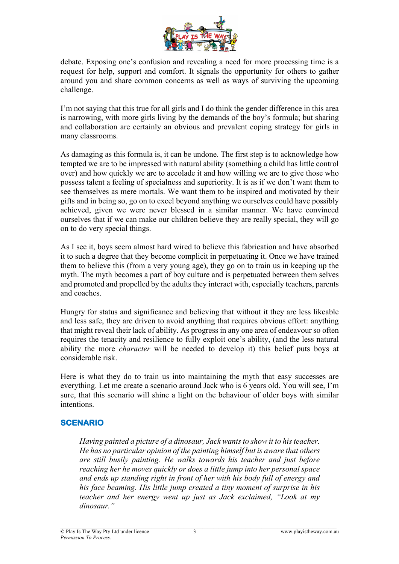

debate. Exposing one's confusion and revealing a need for more processing time is a request for help, support and comfort. It signals the opportunity for others to gather around you and share common concerns as well as ways of surviving the upcoming challenge.

I'm not saying that this true for all girls and I do think the gender difference in this area is narrowing, with more girls living by the demands of the boy's formula; but sharing and collaboration are certainly an obvious and prevalent coping strategy for girls in many classrooms.

As damaging as this formula is, it can be undone. The first step is to acknowledge how tempted we are to be impressed with natural ability (something a child has little control over) and how quickly we are to accolade it and how willing we are to give those who possess talent a feeling of specialness and superiority. It is as if we don't want them to see themselves as mere mortals. We want them to be inspired and motivated by their gifts and in being so, go on to excel beyond anything we ourselves could have possibly achieved, given we were never blessed in a similar manner. We have convinced ourselves that if we can make our children believe they are really special, they will go on to do very special things.

As I see it, boys seem almost hard wired to believe this fabrication and have absorbed it to such a degree that they become complicit in perpetuating it. Once we have trained them to believe this (from a very young age), they go on to train us in keeping up the myth. The myth becomes a part of boy culture and is perpetuated between them selves and promoted and propelled by the adults they interact with, especially teachers, parents and coaches.

Hungry for status and significance and believing that without it they are less likeable and less safe, they are driven to avoid anything that requires obvious effort: anything that might reveal their lack of ability. As progress in any one area of endeavour so often requires the tenacity and resilience to fully exploit one's ability, (and the less natural ability the more *character* will be needed to develop it) this belief puts boys at considerable risk.

Here is what they do to train us into maintaining the myth that easy successes are everything. Let me create a scenario around Jack who is 6 years old. You will see, I'm sure, that this scenario will shine a light on the behaviour of older boys with similar intentions.

#### **SCENARIO**

*Having painted a picture of a dinosaur, Jack wants to show it to his teacher. He has no particular opinion of the painting himself but is aware that others are still busily painting. He walks towards his teacher and just before reaching her he moves quickly or does a little jump into her personal space and ends up standing right in front of her with his body full of energy and his face beaming. His little jump created a tiny moment of surprise in his teacher and her energy went up just as Jack exclaimed, "Look at my dinosaur."*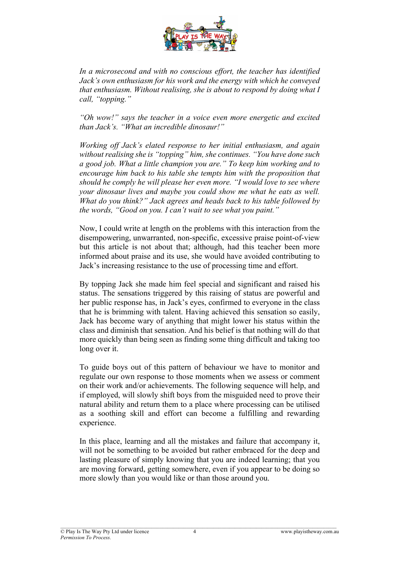

*In a microsecond and with no conscious effort, the teacher has identified Jack's own enthusiasm for his work and the energy with which he conveyed that enthusiasm. Without realising, she is about to respond by doing what I call, "topping."*

*"Oh wow!" says the teacher in a voice even more energetic and excited than Jack's. "What an incredible dinosaur!"*

*Working off Jack's elated response to her initial enthusiasm, and again without realising she is "topping" him, she continues. "You have done such a good job. What a little champion you are." To keep him working and to encourage him back to his table she tempts him with the proposition that should he comply he will please her even more. "I would love to see where your dinosaur lives and maybe you could show me what he eats as well. What do you think?" Jack agrees and heads back to his table followed by the words, "Good on you. I can't wait to see what you paint."*

Now, I could write at length on the problems with this interaction from the disempowering, unwarranted, non-specific, excessive praise point-of-view but this article is not about that; although, had this teacher been more informed about praise and its use, she would have avoided contributing to Jack's increasing resistance to the use of processing time and effort.

By topping Jack she made him feel special and significant and raised his status. The sensations triggered by this raising of status are powerful and her public response has, in Jack's eyes, confirmed to everyone in the class that he is brimming with talent. Having achieved this sensation so easily, Jack has become wary of anything that might lower his status within the class and diminish that sensation. And his belief is that nothing will do that more quickly than being seen as finding some thing difficult and taking too long over it.

To guide boys out of this pattern of behaviour we have to monitor and regulate our own response to those moments when we assess or comment on their work and/or achievements. The following sequence will help, and if employed, will slowly shift boys from the misguided need to prove their natural ability and return them to a place where processing can be utilised as a soothing skill and effort can become a fulfilling and rewarding experience.

In this place, learning and all the mistakes and failure that accompany it, will not be something to be avoided but rather embraced for the deep and lasting pleasure of simply knowing that you are indeed learning; that you are moving forward, getting somewhere, even if you appear to be doing so more slowly than you would like or than those around you.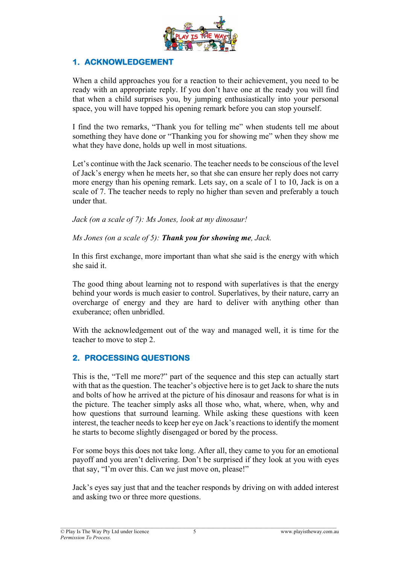

#### **1. ACKNOWLEDGEMENT**

When a child approaches you for a reaction to their achievement, you need to be ready with an appropriate reply. If you don't have one at the ready you will find that when a child surprises you, by jumping enthusiastically into your personal space, you will have topped his opening remark before you can stop yourself.

I find the two remarks, "Thank you for telling me" when students tell me about something they have done or "Thanking you for showing me" when they show me what they have done, holds up well in most situations.

Let's continue with the Jack scenario. The teacher needs to be conscious of the level of Jack's energy when he meets her, so that she can ensure her reply does not carry more energy than his opening remark. Lets say, on a scale of 1 to 10, Jack is on a scale of 7. The teacher needs to reply no higher than seven and preferably a touch under that.

*Jack (on a scale of 7): Ms Jones, look at my dinosaur!*

*Ms Jones (on a scale of 5): Thank you for showing me, Jack.*

In this first exchange, more important than what she said is the energy with which she said it.

The good thing about learning not to respond with superlatives is that the energy behind your words is much easier to control. Superlatives, by their nature, carry an overcharge of energy and they are hard to deliver with anything other than exuberance; often unbridled.

With the acknowledgement out of the way and managed well, it is time for the teacher to move to step 2.

#### **2. PROCESSING QUESTIONS**

This is the, "Tell me more?" part of the sequence and this step can actually start with that as the question. The teacher's objective here is to get Jack to share the nuts and bolts of how he arrived at the picture of his dinosaur and reasons for what is in the picture. The teacher simply asks all those who, what, where, when, why and how questions that surround learning. While asking these questions with keen interest, the teacher needs to keep her eye on Jack's reactions to identify the moment he starts to become slightly disengaged or bored by the process.

For some boys this does not take long. After all, they came to you for an emotional payoff and you aren't delivering. Don't be surprised if they look at you with eyes that say, "I'm over this. Can we just move on, please!"

Jack's eyes say just that and the teacher responds by driving on with added interest and asking two or three more questions.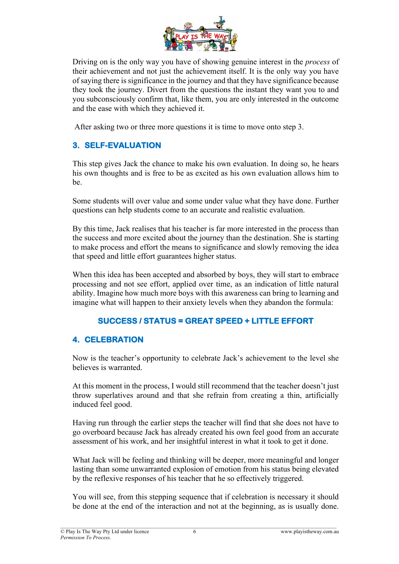

Driving on is the only way you have of showing genuine interest in the *process* of their achievement and not just the achievement itself. It is the only way you have of saying there is significance in the journey and that they have significance because they took the journey. Divert from the questions the instant they want you to and you subconsciously confirm that, like them, you are only interested in the outcome and the ease with which they achieved it.

After asking two or three more questions it is time to move onto step 3.

# **3. SELF-EVALUATION**

This step gives Jack the chance to make his own evaluation. In doing so, he hears his own thoughts and is free to be as excited as his own evaluation allows him to be.

Some students will over value and some under value what they have done. Further questions can help students come to an accurate and realistic evaluation.

By this time, Jack realises that his teacher is far more interested in the process than the success and more excited about the journey than the destination. She is starting to make process and effort the means to significance and slowly removing the idea that speed and little effort guarantees higher status.

When this idea has been accepted and absorbed by boys, they will start to embrace processing and not see effort, applied over time, as an indication of little natural ability. Imagine how much more boys with this awareness can bring to learning and imagine what will happen to their anxiety levels when they abandon the formula:

## **SUCCESS / STATUS = GREAT SPEED + LITTLE EFFORT**

#### **4. CELEBRATION**

Now is the teacher's opportunity to celebrate Jack's achievement to the level she believes is warranted.

At this moment in the process, I would still recommend that the teacher doesn't just throw superlatives around and that she refrain from creating a thin, artificially induced feel good.

Having run through the earlier steps the teacher will find that she does not have to go overboard because Jack has already created his own feel good from an accurate assessment of his work, and her insightful interest in what it took to get it done.

What Jack will be feeling and thinking will be deeper, more meaningful and longer lasting than some unwarranted explosion of emotion from his status being elevated by the reflexive responses of his teacher that he so effectively triggered.

You will see, from this stepping sequence that if celebration is necessary it should be done at the end of the interaction and not at the beginning, as is usually done.